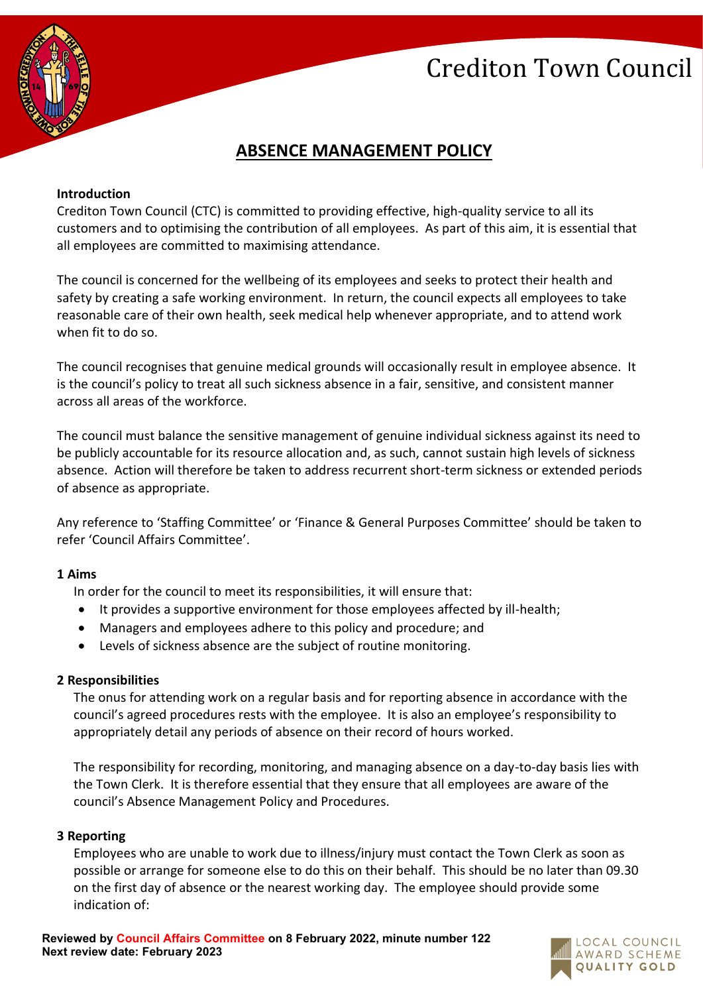# Crediton Town Council



# **ABSENCE MANAGEMENT POLICY**

# **Introduction**

Crediton Town Council (CTC) is committed to providing effective, high-quality service to all its customers and to optimising the contribution of all employees. As part of this aim, it is essential that all employees are committed to maximising attendance.

The council is concerned for the wellbeing of its employees and seeks to protect their health and safety by creating a safe working environment. In return, the council expects all employees to take reasonable care of their own health, seek medical help whenever appropriate, and to attend work when fit to do so.

The council recognises that genuine medical grounds will occasionally result in employee absence. It is the council's policy to treat all such sickness absence in a fair, sensitive, and consistent manner across all areas of the workforce.

The council must balance the sensitive management of genuine individual sickness against its need to be publicly accountable for its resource allocation and, as such, cannot sustain high levels of sickness absence. Action will therefore be taken to address recurrent short-term sickness or extended periods of absence as appropriate.

Any reference to 'Staffing Committee' or 'Finance & General Purposes Committee' should be taken to refer 'Council Affairs Committee'.

# **1 Aims**

In order for the council to meet its responsibilities, it will ensure that:

- It provides a supportive environment for those employees affected by ill-health;
- Managers and employees adhere to this policy and procedure; and
- Levels of sickness absence are the subject of routine monitoring.

# **2 Responsibilities**

The onus for attending work on a regular basis and for reporting absence in accordance with the council's agreed procedures rests with the employee. It is also an employee's responsibility to appropriately detail any periods of absence on their record of hours worked.

The responsibility for recording, monitoring, and managing absence on a day-to-day basis lies with the Town Clerk. It is therefore essential that they ensure that all employees are aware of the council's Absence Management Policy and Procedures.

# **3 Reporting**

Employees who are unable to work due to illness/injury must contact the Town Clerk as soon as possible or arrange for someone else to do this on their behalf. This should be no later than 09.30 on the first day of absence or the nearest working day. The employee should provide some indication of:

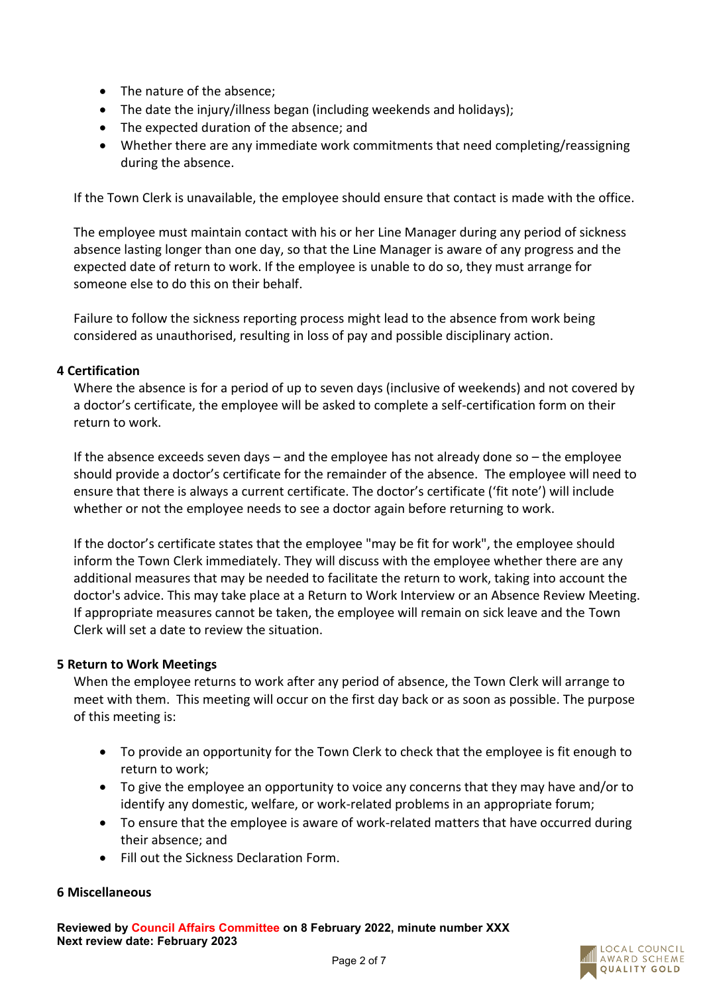- The nature of the absence;
- The date the injury/illness began (including weekends and holidays);
- The expected duration of the absence; and
- Whether there are any immediate work commitments that need completing/reassigning during the absence.

If the Town Clerk is unavailable, the employee should ensure that contact is made with the office.

The employee must maintain contact with his or her Line Manager during any period of sickness absence lasting longer than one day, so that the Line Manager is aware of any progress and the expected date of return to work. If the employee is unable to do so, they must arrange for someone else to do this on their behalf.

Failure to follow the sickness reporting process might lead to the absence from work being considered as unauthorised, resulting in loss of pay and possible disciplinary action.

# **4 Certification**

Where the absence is for a period of up to seven days (inclusive of weekends) and not covered by a doctor's certificate, the employee will be asked to complete a self-certification form on their return to work.

If the absence exceeds seven days – and the employee has not already done so – the employee should provide a doctor's certificate for the remainder of the absence. The employee will need to ensure that there is always a current certificate. The doctor's certificate ('fit note') will include whether or not the employee needs to see a doctor again before returning to work.

If the doctor's certificate states that the employee "may be fit for work", the employee should inform the Town Clerk immediately. They will discuss with the employee whether there are any additional measures that may be needed to facilitate the return to work, taking into account the doctor's advice. This may take place at a Return to Work Interview or an Absence Review Meeting. If appropriate measures cannot be taken, the employee will remain on sick leave and the Town Clerk will set a date to review the situation.

# **5 Return to Work Meetings**

When the employee returns to work after any period of absence, the Town Clerk will arrange to meet with them. This meeting will occur on the first day back or as soon as possible. The purpose of this meeting is:

- To provide an opportunity for the Town Clerk to check that the employee is fit enough to return to work;
- To give the employee an opportunity to voice any concerns that they may have and/or to identify any domestic, welfare, or work-related problems in an appropriate forum;
- To ensure that the employee is aware of work-related matters that have occurred during their absence; and
- Fill out the Sickness Declaration Form.

# **6 Miscellaneous**

**Reviewed by Council Affairs Committee on 8 February 2022, minute number XXX Next review date: February 2023**

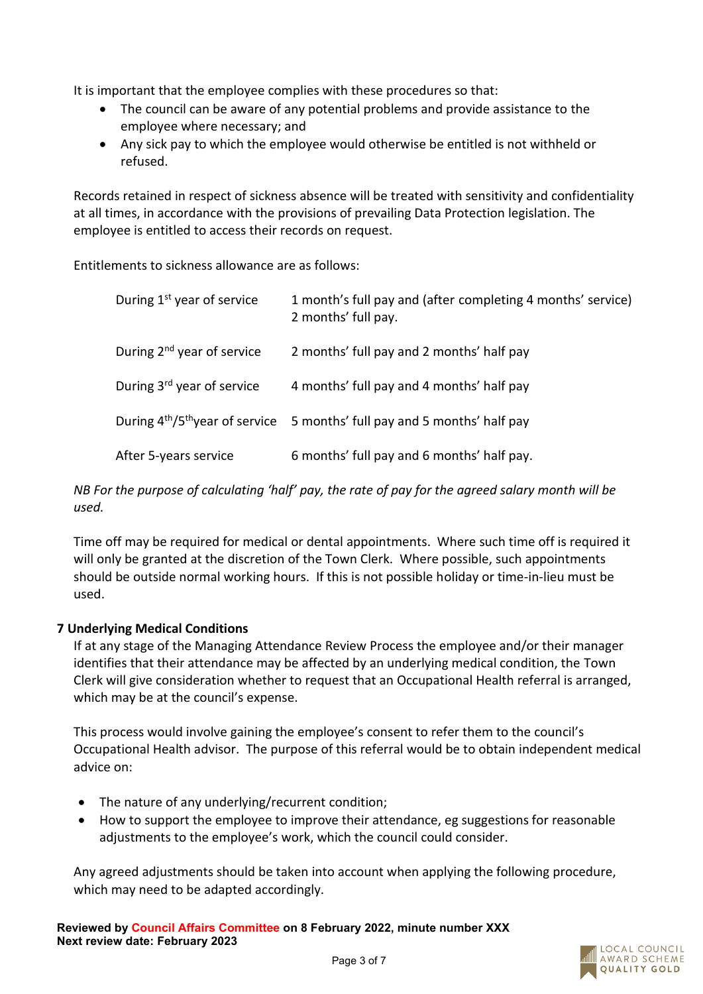It is important that the employee complies with these procedures so that:

- The council can be aware of any potential problems and provide assistance to the employee where necessary; and
- Any sick pay to which the employee would otherwise be entitled is not withheld or refused.

Records retained in respect of sickness absence will be treated with sensitivity and confidentiality at all times, in accordance with the provisions of prevailing Data Protection legislation. The employee is entitled to access their records on request.

Entitlements to sickness allowance are as follows:

| During 1 <sup>st</sup> year of service | 1 month's full pay and (after completing 4 months' service)<br>2 months' full pay.                |
|----------------------------------------|---------------------------------------------------------------------------------------------------|
| During $2^{nd}$ year of service        | 2 months' full pay and 2 months' half pay                                                         |
| During 3rd year of service             | 4 months' full pay and 4 months' half pay                                                         |
|                                        | During 4 <sup>th</sup> /5 <sup>th</sup> year of service 5 months' full pay and 5 months' half pay |
| After 5-years service                  | 6 months' full pay and 6 months' half pay.                                                        |

*NB For the purpose of calculating 'half' pay, the rate of pay for the agreed salary month will be used.*

Time off may be required for medical or dental appointments. Where such time off is required it will only be granted at the discretion of the Town Clerk. Where possible, such appointments should be outside normal working hours. If this is not possible holiday or time-in-lieu must be used.

# **7 Underlying Medical Conditions**

If at any stage of the Managing Attendance Review Process the employee and/or their manager identifies that their attendance may be affected by an underlying medical condition, the Town Clerk will give consideration whether to request that an Occupational Health referral is arranged, which may be at the council's expense.

This process would involve gaining the employee's consent to refer them to the council's Occupational Health advisor. The purpose of this referral would be to obtain independent medical advice on:

- The nature of any underlying/recurrent condition;
- How to support the employee to improve their attendance, eg suggestions for reasonable adjustments to the employee's work, which the council could consider.

Any agreed adjustments should be taken into account when applying the following procedure, which may need to be adapted accordingly.

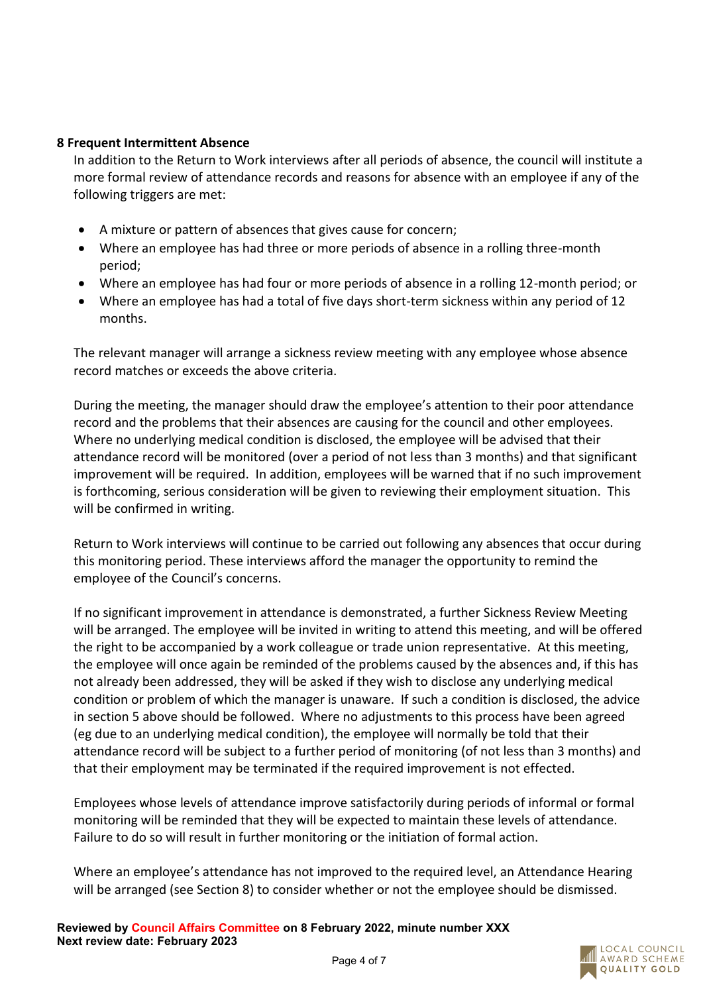# **8 Frequent Intermittent Absence**

In addition to the Return to Work interviews after all periods of absence, the council will institute a more formal review of attendance records and reasons for absence with an employee if any of the following triggers are met:

- A mixture or pattern of absences that gives cause for concern;
- Where an employee has had three or more periods of absence in a rolling three-month period;
- Where an employee has had four or more periods of absence in a rolling 12-month period; or
- Where an employee has had a total of five days short-term sickness within any period of 12 months.

The relevant manager will arrange a sickness review meeting with any employee whose absence record matches or exceeds the above criteria.

During the meeting, the manager should draw the employee's attention to their poor attendance record and the problems that their absences are causing for the council and other employees. Where no underlying medical condition is disclosed, the employee will be advised that their attendance record will be monitored (over a period of not less than 3 months) and that significant improvement will be required. In addition, employees will be warned that if no such improvement is forthcoming, serious consideration will be given to reviewing their employment situation. This will be confirmed in writing.

Return to Work interviews will continue to be carried out following any absences that occur during this monitoring period. These interviews afford the manager the opportunity to remind the employee of the Council's concerns.

If no significant improvement in attendance is demonstrated, a further Sickness Review Meeting will be arranged. The employee will be invited in writing to attend this meeting, and will be offered the right to be accompanied by a work colleague or trade union representative. At this meeting, the employee will once again be reminded of the problems caused by the absences and, if this has not already been addressed, they will be asked if they wish to disclose any underlying medical condition or problem of which the manager is unaware. If such a condition is disclosed, the advice in section 5 above should be followed. Where no adjustments to this process have been agreed (eg due to an underlying medical condition), the employee will normally be told that their attendance record will be subject to a further period of monitoring (of not less than 3 months) and that their employment may be terminated if the required improvement is not effected.

Employees whose levels of attendance improve satisfactorily during periods of informal or formal monitoring will be reminded that they will be expected to maintain these levels of attendance. Failure to do so will result in further monitoring or the initiation of formal action.

Where an employee's attendance has not improved to the required level, an Attendance Hearing will be arranged (see Section 8) to consider whether or not the employee should be dismissed.

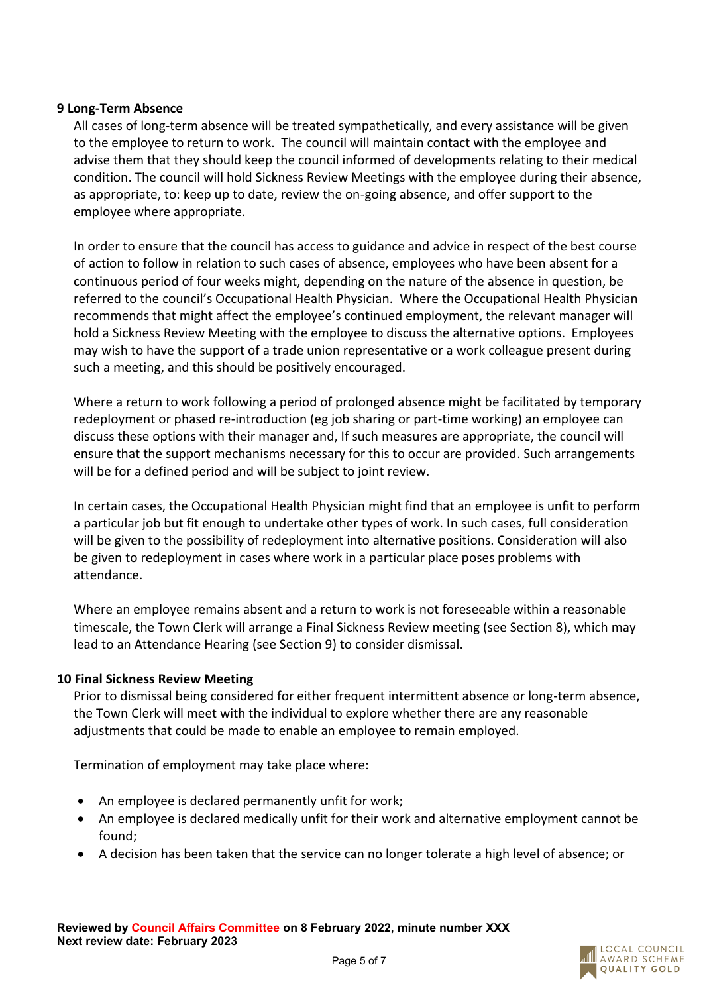# **9 Long-Term Absence**

All cases of long-term absence will be treated sympathetically, and every assistance will be given to the employee to return to work. The council will maintain contact with the employee and advise them that they should keep the council informed of developments relating to their medical condition. The council will hold Sickness Review Meetings with the employee during their absence, as appropriate, to: keep up to date, review the on-going absence, and offer support to the employee where appropriate.

In order to ensure that the council has access to guidance and advice in respect of the best course of action to follow in relation to such cases of absence, employees who have been absent for a continuous period of four weeks might, depending on the nature of the absence in question, be referred to the council's Occupational Health Physician. Where the Occupational Health Physician recommends that might affect the employee's continued employment, the relevant manager will hold a Sickness Review Meeting with the employee to discuss the alternative options. Employees may wish to have the support of a trade union representative or a work colleague present during such a meeting, and this should be positively encouraged.

Where a return to work following a period of prolonged absence might be facilitated by temporary redeployment or phased re-introduction (eg job sharing or part-time working) an employee can discuss these options with their manager and, If such measures are appropriate, the council will ensure that the support mechanisms necessary for this to occur are provided. Such arrangements will be for a defined period and will be subject to joint review.

In certain cases, the Occupational Health Physician might find that an employee is unfit to perform a particular job but fit enough to undertake other types of work. In such cases, full consideration will be given to the possibility of redeployment into alternative positions. Consideration will also be given to redeployment in cases where work in a particular place poses problems with attendance.

Where an employee remains absent and a return to work is not foreseeable within a reasonable timescale, the Town Clerk will arrange a Final Sickness Review meeting (see Section 8), which may lead to an Attendance Hearing (see Section 9) to consider dismissal.

# **10 Final Sickness Review Meeting**

Prior to dismissal being considered for either frequent intermittent absence or long-term absence, the Town Clerk will meet with the individual to explore whether there are any reasonable adjustments that could be made to enable an employee to remain employed.

Termination of employment may take place where:

- An employee is declared permanently unfit for work;
- An employee is declared medically unfit for their work and alternative employment cannot be found;
- A decision has been taken that the service can no longer tolerate a high level of absence; or

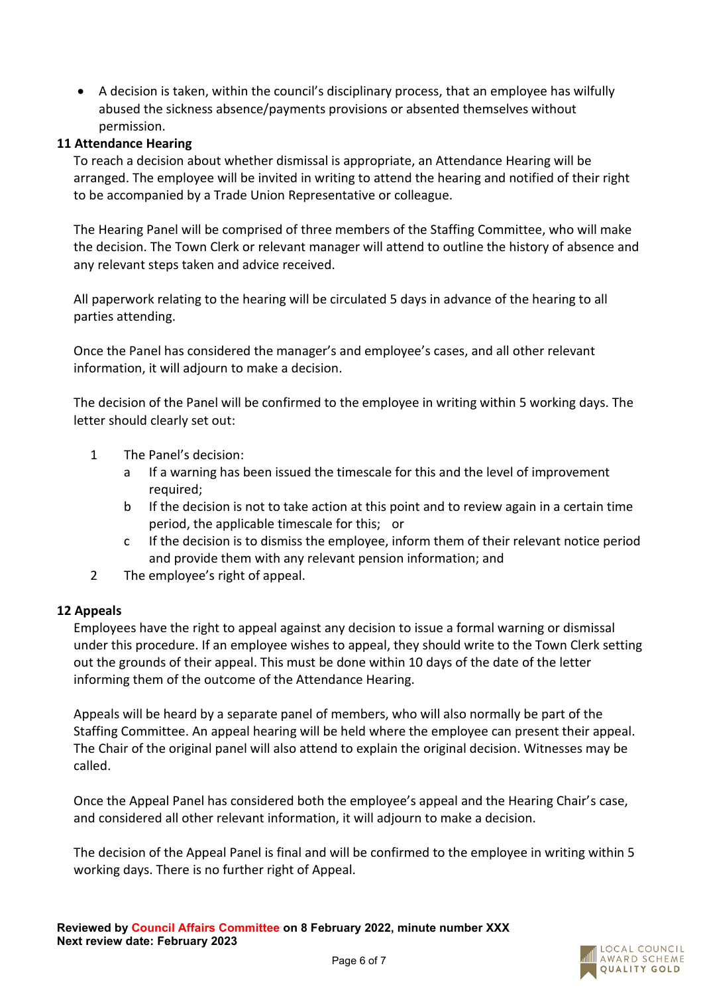• A decision is taken, within the council's disciplinary process, that an employee has wilfully abused the sickness absence/payments provisions or absented themselves without permission.

# **11 Attendance Hearing**

To reach a decision about whether dismissal is appropriate, an Attendance Hearing will be arranged. The employee will be invited in writing to attend the hearing and notified of their right to be accompanied by a Trade Union Representative or colleague.

The Hearing Panel will be comprised of three members of the Staffing Committee, who will make the decision. The Town Clerk or relevant manager will attend to outline the history of absence and any relevant steps taken and advice received.

All paperwork relating to the hearing will be circulated 5 days in advance of the hearing to all parties attending.

Once the Panel has considered the manager's and employee's cases, and all other relevant information, it will adjourn to make a decision.

The decision of the Panel will be confirmed to the employee in writing within 5 working days. The letter should clearly set out:

- 1 The Panel's decision:
	- a If a warning has been issued the timescale for this and the level of improvement required;
	- b If the decision is not to take action at this point and to review again in a certain time period, the applicable timescale for this; or
	- c If the decision is to dismiss the employee, inform them of their relevant notice period and provide them with any relevant pension information; and
- 2 The employee's right of appeal.

# **12 Appeals**

Employees have the right to appeal against any decision to issue a formal warning or dismissal under this procedure. If an employee wishes to appeal, they should write to the Town Clerk setting out the grounds of their appeal. This must be done within 10 days of the date of the letter informing them of the outcome of the Attendance Hearing.

Appeals will be heard by a separate panel of members, who will also normally be part of the Staffing Committee. An appeal hearing will be held where the employee can present their appeal. The Chair of the original panel will also attend to explain the original decision. Witnesses may be called.

Once the Appeal Panel has considered both the employee's appeal and the Hearing Chair's case, and considered all other relevant information, it will adjourn to make a decision.

The decision of the Appeal Panel is final and will be confirmed to the employee in writing within 5 working days. There is no further right of Appeal.

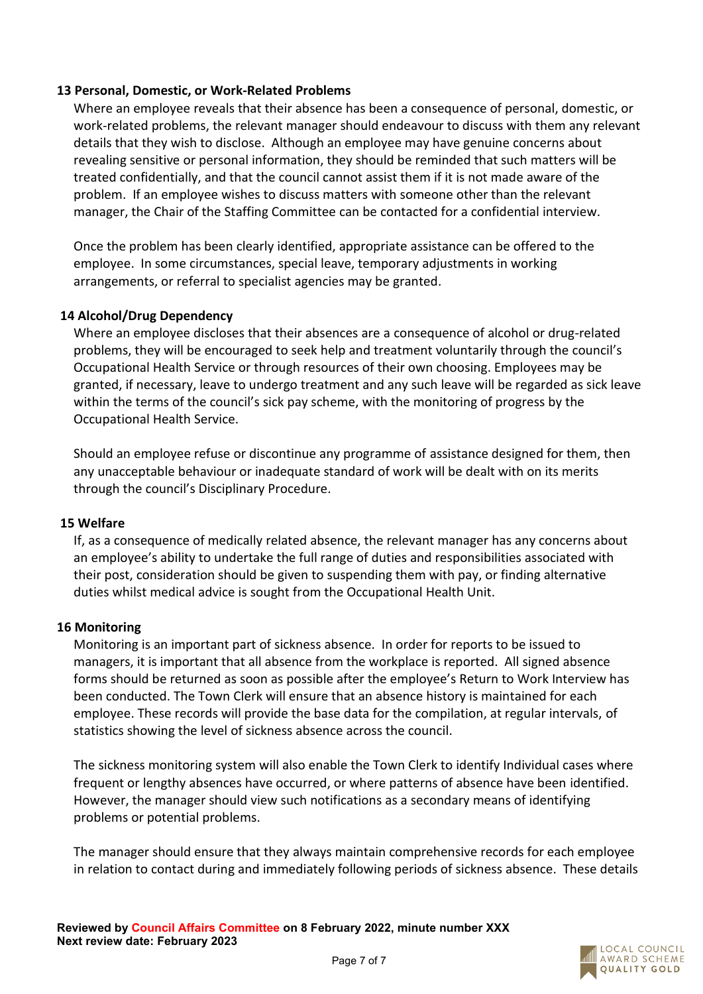# **13 Personal, Domestic, or Work-Related Problems**

Where an employee reveals that their absence has been a consequence of personal, domestic, or work-related problems, the relevant manager should endeavour to discuss with them any relevant details that they wish to disclose. Although an employee may have genuine concerns about revealing sensitive or personal information, they should be reminded that such matters will be treated confidentially, and that the council cannot assist them if it is not made aware of the problem. If an employee wishes to discuss matters with someone other than the relevant manager, the Chair of the Staffing Committee can be contacted for a confidential interview.

Once the problem has been clearly identified, appropriate assistance can be offered to the employee. In some circumstances, special leave, temporary adjustments in working arrangements, or referral to specialist agencies may be granted.

# **14 Alcohol/Drug Dependency**

Where an employee discloses that their absences are a consequence of alcohol or drug-related problems, they will be encouraged to seek help and treatment voluntarily through the council's Occupational Health Service or through resources of their own choosing. Employees may be granted, if necessary, leave to undergo treatment and any such leave will be regarded as sick leave within the terms of the council's sick pay scheme, with the monitoring of progress by the Occupational Health Service.

Should an employee refuse or discontinue any programme of assistance designed for them, then any unacceptable behaviour or inadequate standard of work will be dealt with on its merits through the council's Disciplinary Procedure.

# **15 Welfare**

If, as a consequence of medically related absence, the relevant manager has any concerns about an employee's ability to undertake the full range of duties and responsibilities associated with their post, consideration should be given to suspending them with pay, or finding alternative duties whilst medical advice is sought from the Occupational Health Unit.

# **16 Monitoring**

Monitoring is an important part of sickness absence. In order for reports to be issued to managers, it is important that all absence from the workplace is reported. All signed absence forms should be returned as soon as possible after the employee's Return to Work Interview has been conducted. The Town Clerk will ensure that an absence history is maintained for each employee. These records will provide the base data for the compilation, at regular intervals, of statistics showing the level of sickness absence across the council.

The sickness monitoring system will also enable the Town Clerk to identify Individual cases where frequent or lengthy absences have occurred, or where patterns of absence have been identified. However, the manager should view such notifications as a secondary means of identifying problems or potential problems.

The manager should ensure that they always maintain comprehensive records for each employee in relation to contact during and immediately following periods of sickness absence. These details